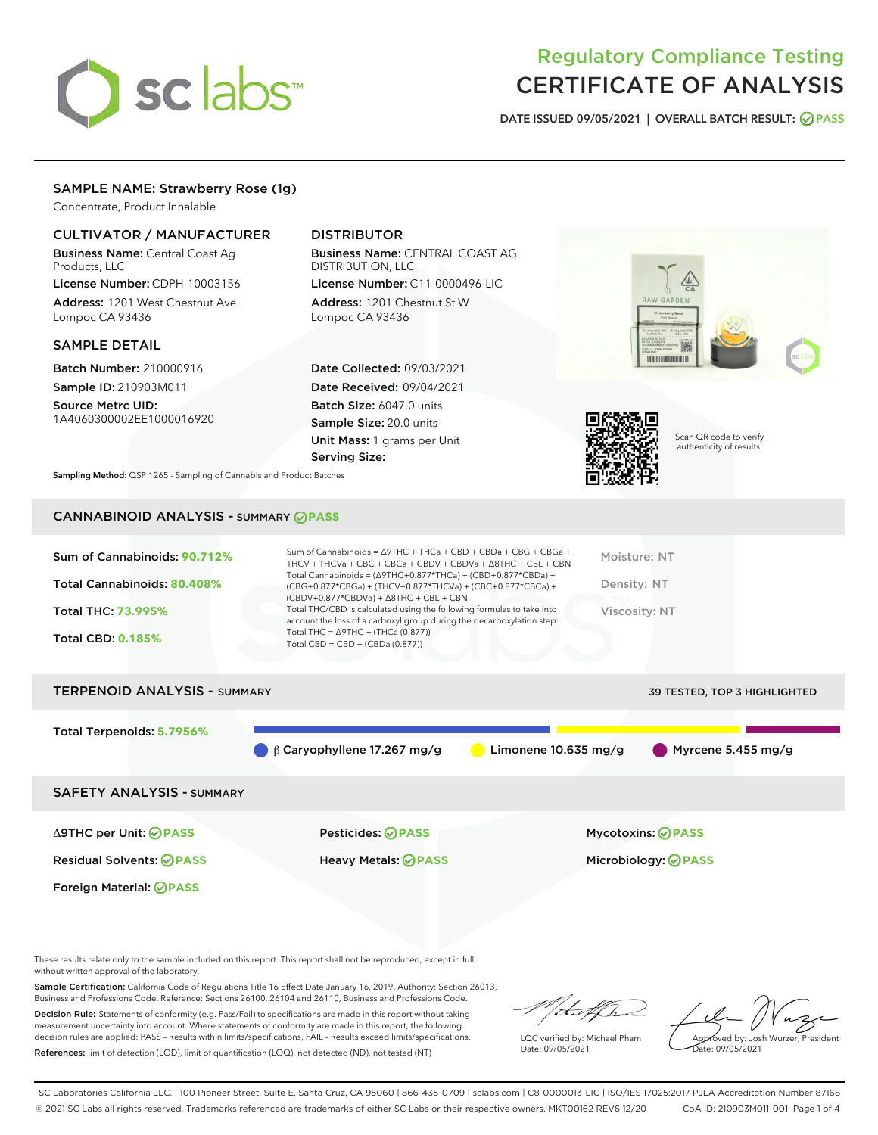# sclabs<sup>\*</sup>

# Regulatory Compliance Testing CERTIFICATE OF ANALYSIS

DATE ISSUED 09/05/2021 | OVERALL BATCH RESULT: @ PASS

# SAMPLE NAME: Strawberry Rose (1g)

Concentrate, Product Inhalable

## CULTIVATOR / MANUFACTURER

Business Name: Central Coast Ag Products, LLC

License Number: CDPH-10003156 Address: 1201 West Chestnut Ave. Lompoc CA 93436

#### SAMPLE DETAIL

Batch Number: 210000916 Sample ID: 210903M011

Source Metrc UID: 1A4060300002EE1000016920

# DISTRIBUTOR

Business Name: CENTRAL COAST AG DISTRIBUTION, LLC License Number: C11-0000496-LIC

Address: 1201 Chestnut St W Lompoc CA 93436

Date Collected: 09/03/2021 Date Received: 09/04/2021 Batch Size: 6047.0 units Sample Size: 20.0 units Unit Mass: 1 grams per Unit Serving Size:





Scan QR code to verify authenticity of results.

Sampling Method: QSP 1265 - Sampling of Cannabis and Product Batches

# CANNABINOID ANALYSIS - SUMMARY **PASS**

| Sum of Cannabinoids: 90.712% | Sum of Cannabinoids = ∆9THC + THCa + CBD + CBDa + CBG + CBGa +<br>THCV + THCVa + CBC + CBCa + CBDV + CBDVa + $\Delta$ 8THC + CBL + CBN                                               | Moisture: NT  |
|------------------------------|--------------------------------------------------------------------------------------------------------------------------------------------------------------------------------------|---------------|
| Total Cannabinoids: 80.408%  | Total Cannabinoids = $(\Delta$ 9THC+0.877*THCa) + (CBD+0.877*CBDa) +<br>(CBG+0.877*CBGa) + (THCV+0.877*THCVa) + (CBC+0.877*CBCa) +<br>$(CBDV+0.877*CBDVa) + \Delta 8THC + CBL + CBN$ | Density: NT   |
| Total THC: 73.995%           | Total THC/CBD is calculated using the following formulas to take into<br>account the loss of a carboxyl group during the decarboxylation step:                                       | Viscosity: NT |
| <b>Total CBD: 0.185%</b>     | Total THC = $\triangle$ 9THC + (THCa (0.877))<br>Total CBD = $CBD + (CBDa (0.877))$                                                                                                  |               |
|                              |                                                                                                                                                                                      |               |

# TERPENOID ANALYSIS - SUMMARY 39 TESTED, TOP 3 HIGHLIGHTED Total Terpenoids: **5.7956%**  $\beta$  β Caryophyllene 17.267 mg/g  $\qquad$  Limonene 10.635 mg/g Myrcene 5.455 mg/g SAFETY ANALYSIS - SUMMARY

Foreign Material: **PASS**

Δ9THC per Unit: **PASS** Pesticides: **PASS** Mycotoxins: **PASS**

Residual Solvents: **PASS** Heavy Metals: **PASS** Microbiology: **PASS**

These results relate only to the sample included on this report. This report shall not be reproduced, except in full, without written approval of the laboratory.

Sample Certification: California Code of Regulations Title 16 Effect Date January 16, 2019. Authority: Section 26013, Business and Professions Code. Reference: Sections 26100, 26104 and 26110, Business and Professions Code.

Decision Rule: Statements of conformity (e.g. Pass/Fail) to specifications are made in this report without taking measurement uncertainty into account. Where statements of conformity are made in this report, the following decision rules are applied: PASS – Results within limits/specifications, FAIL – Results exceed limits/specifications. References: limit of detection (LOD), limit of quantification (LOQ), not detected (ND), not tested (NT)

that f

LQC verified by: Michael Pham Date: 09/05/2021

Approved by: Josh Wurzer, President ate: 09/05/2021

SC Laboratories California LLC. | 100 Pioneer Street, Suite E, Santa Cruz, CA 95060 | 866-435-0709 | sclabs.com | C8-0000013-LIC | ISO/IES 17025:2017 PJLA Accreditation Number 87168 © 2021 SC Labs all rights reserved. Trademarks referenced are trademarks of either SC Labs or their respective owners. MKT00162 REV6 12/20 CoA ID: 210903M011-001 Page 1 of 4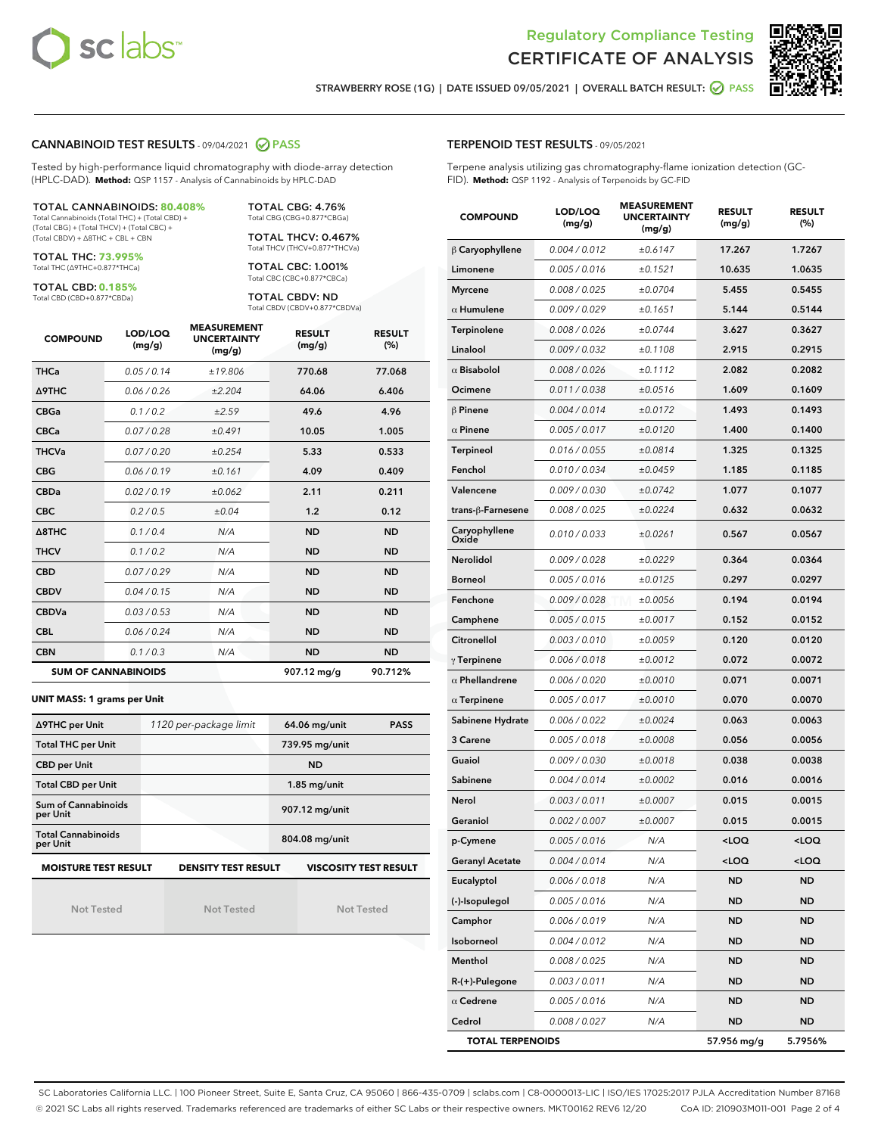



STRAWBERRY ROSE (1G) | DATE ISSUED 09/05/2021 | OVERALL BATCH RESULT: @ PASS

#### CANNABINOID TEST RESULTS - 09/04/2021 2 PASS

Tested by high-performance liquid chromatography with diode-array detection (HPLC-DAD). **Method:** QSP 1157 - Analysis of Cannabinoids by HPLC-DAD

#### TOTAL CANNABINOIDS: **80.408%**

Total Cannabinoids (Total THC) + (Total CBD) + (Total CBG) + (Total THCV) + (Total CBC) + (Total CBDV) + ∆8THC + CBL + CBN

TOTAL THC: **73.995%** Total THC (∆9THC+0.877\*THCa)

TOTAL CBD: **0.185%**

Total CBD (CBD+0.877\*CBDa)

TOTAL CBG: 4.76% Total CBG (CBG+0.877\*CBGa)

TOTAL THCV: 0.467% Total THCV (THCV+0.877\*THCVa)

TOTAL CBC: 1.001% Total CBC (CBC+0.877\*CBCa)

TOTAL CBDV: ND Total CBDV (CBDV+0.877\*CBDVa)

| <b>COMPOUND</b>            | LOD/LOQ<br>(mg/g) | <b>MEASUREMENT</b><br><b>UNCERTAINTY</b><br>(mg/g) | <b>RESULT</b><br>(mg/g) | <b>RESULT</b><br>(%) |
|----------------------------|-------------------|----------------------------------------------------|-------------------------|----------------------|
| <b>THCa</b>                | 0.05/0.14         | ±19.806                                            | 770.68                  | 77.068               |
| <b>A9THC</b>               | 0.06 / 0.26       | ±2.204                                             | 64.06                   | 6.406                |
| <b>CBGa</b>                | 0.1 / 0.2         | ±2.59                                              | 49.6                    | 4.96                 |
| <b>CBCa</b>                | 0.07 / 0.28       | ±0.491                                             | 10.05                   | 1.005                |
| <b>THCVa</b>               | 0.07/0.20         | ±0.254                                             | 5.33                    | 0.533                |
| <b>CBG</b>                 | 0.06/0.19         | ±0.161                                             | 4.09                    | 0.409                |
| <b>CBDa</b>                | 0.02/0.19         | ±0.062                                             | 2.11                    | 0.211                |
| <b>CBC</b>                 | 0.2 / 0.5         | ±0.04                                              | 1.2                     | 0.12                 |
| $\triangle$ 8THC           | 0.1 / 0.4         | N/A                                                | <b>ND</b>               | <b>ND</b>            |
| <b>THCV</b>                | 0.1 / 0.2         | N/A                                                | <b>ND</b>               | <b>ND</b>            |
| <b>CBD</b>                 | 0.07/0.29         | N/A                                                | <b>ND</b>               | <b>ND</b>            |
| <b>CBDV</b>                | 0.04/0.15         | N/A                                                | <b>ND</b>               | <b>ND</b>            |
| <b>CBDVa</b>               | 0.03/0.53         | N/A                                                | <b>ND</b>               | <b>ND</b>            |
| <b>CBL</b>                 | 0.06 / 0.24       | N/A                                                | <b>ND</b>               | <b>ND</b>            |
| <b>CBN</b>                 | 0.1/0.3           | N/A                                                | <b>ND</b>               | <b>ND</b>            |
| <b>SUM OF CANNABINOIDS</b> |                   |                                                    | 907.12 mg/g             | 90.712%              |

#### **UNIT MASS: 1 grams per Unit**

| ∆9THC per Unit                        | 1120 per-package limit     | 64.06 mg/unit<br><b>PASS</b> |
|---------------------------------------|----------------------------|------------------------------|
| <b>Total THC per Unit</b>             |                            | 739.95 mg/unit               |
| <b>CBD per Unit</b>                   |                            | <b>ND</b>                    |
| <b>Total CBD per Unit</b>             |                            | $1.85$ mg/unit               |
| Sum of Cannabinoids<br>per Unit       |                            | 907.12 mg/unit               |
| <b>Total Cannabinoids</b><br>per Unit |                            | 804.08 mg/unit               |
| <b>MOISTURE TEST RESULT</b>           | <b>DENSITY TEST RESULT</b> | <b>VISCOSITY TEST RESULT</b> |

Not Tested

Not Tested

Not Tested

TERPENOID TEST RESULTS - 09/05/2021

Terpene analysis utilizing gas chromatography-flame ionization detection (GC-FID). **Method:** QSP 1192 - Analysis of Terpenoids by GC-FID

| <b>COMPOUND</b>         | LOD/LOQ<br>(mg/g) | <b>MEASUREMENT</b><br><b>UNCERTAINTY</b><br>(mg/g) | <b>RESULT</b><br>(mg/g)                         | <b>RESULT</b><br>$(\%)$ |
|-------------------------|-------------------|----------------------------------------------------|-------------------------------------------------|-------------------------|
| $\upbeta$ Caryophyllene | 0.004 / 0.012     | ±0.6147                                            | 17.267                                          | 1.7267                  |
| Limonene                | 0.005 / 0.016     | ±0.1521                                            | 10.635                                          | 1.0635                  |
| <b>Myrcene</b>          | 0.008 / 0.025     | ±0.0704                                            | 5.455                                           | 0.5455                  |
| $\alpha$ Humulene       | 0.009/0.029       | ±0.1651                                            | 5.144                                           | 0.5144                  |
| Terpinolene             | 0.008 / 0.026     | ±0.0744                                            | 3.627                                           | 0.3627                  |
| Linalool                | 0.009 / 0.032     | ±0.1108                                            | 2.915                                           | 0.2915                  |
| $\alpha$ Bisabolol      | 0.008 / 0.026     | ±0.1112                                            | 2.082                                           | 0.2082                  |
| Ocimene                 | 0.011 / 0.038     | ±0.0516                                            | 1.609                                           | 0.1609                  |
| $\beta$ Pinene          | 0.004 / 0.014     | ±0.0172                                            | 1.493                                           | 0.1493                  |
| $\alpha$ Pinene         | 0.005 / 0.017     | ±0.0120                                            | 1.400                                           | 0.1400                  |
| Terpineol               | 0.016 / 0.055     | ±0.0814                                            | 1.325                                           | 0.1325                  |
| Fenchol                 | 0.010 / 0.034     | ±0.0459                                            | 1.185                                           | 0.1185                  |
| Valencene               | 0.009/0.030       | ±0.0742                                            | 1.077                                           | 0.1077                  |
| trans-β-Farnesene       | 0.008 / 0.025     | ±0.0224                                            | 0.632                                           | 0.0632                  |
| Caryophyllene<br>Oxide  | 0.010 / 0.033     | ±0.0261                                            | 0.567                                           | 0.0567                  |
| Nerolidol               | 0.009 / 0.028     | ±0.0229                                            | 0.364                                           | 0.0364                  |
| <b>Borneol</b>          | 0.005 / 0.016     | ±0.0125                                            | 0.297                                           | 0.0297                  |
| Fenchone                | 0.009 / 0.028     | ±0.0056                                            | 0.194                                           | 0.0194                  |
| Camphene                | 0.005 / 0.015     | ±0.0017                                            | 0.152                                           | 0.0152                  |
| Citronellol             | 0.003 / 0.010     | ±0.0059                                            | 0.120                                           | 0.0120                  |
| $\gamma$ Terpinene      | 0.006 / 0.018     | ±0.0012                                            | 0.072                                           | 0.0072                  |
| $\alpha$ Phellandrene   | 0.006 / 0.020     | ±0.0010                                            | 0.071                                           | 0.0071                  |
| $\alpha$ Terpinene      | 0.005 / 0.017     | ±0.0010                                            | 0.070                                           | 0.0070                  |
| Sabinene Hydrate        | 0.006 / 0.022     | ±0.0024                                            | 0.063                                           | 0.0063                  |
| 3 Carene                | 0.005 / 0.018     | ±0.0008                                            | 0.056                                           | 0.0056                  |
| Guaiol                  | 0.009 / 0.030     | ±0.0018                                            | 0.038                                           | 0.0038                  |
| Sabinene                | 0.004 / 0.014     | ±0.0002                                            | 0.016                                           | 0.0016                  |
| Nerol                   | 0.003 / 0.011     | ±0.0007                                            | 0.015                                           | 0.0015                  |
| Geraniol                | 0.002 / 0.007     | ±0.0007                                            | 0.015                                           | 0.0015                  |
| p-Cymene                | 0.005 / 0.016     | N/A                                                | <loq< th=""><th><loq< th=""></loq<></th></loq<> | <loq< th=""></loq<>     |
| <b>Geranyl Acetate</b>  | 0.004 / 0.014     | N/A                                                | 100                                             | <loq< th=""></loq<>     |
| Eucalyptol              | 0.006 / 0.018     | N/A                                                | ND                                              | ND                      |
| (-)-Isopulegol          | 0.005 / 0.016     | N/A                                                | ND                                              | <b>ND</b>               |
| Camphor                 | 0.006 / 0.019     | N/A                                                | ND                                              | <b>ND</b>               |
| Isoborneol              | 0.004 / 0.012     | N/A                                                | ND                                              | <b>ND</b>               |
| Menthol                 | 0.008 / 0.025     | N/A                                                | ND                                              | ND                      |
| R-(+)-Pulegone          | 0.003 / 0.011     | N/A                                                | ND                                              | ND                      |
| $\alpha$ Cedrene        | 0.005 / 0.016     | N/A                                                | ND                                              | <b>ND</b>               |
| Cedrol                  | 0.008 / 0.027     | N/A                                                | ND                                              | ND                      |
| <b>TOTAL TERPENOIDS</b> |                   |                                                    | 57.956 mg/g                                     | 5.7956%                 |

SC Laboratories California LLC. | 100 Pioneer Street, Suite E, Santa Cruz, CA 95060 | 866-435-0709 | sclabs.com | C8-0000013-LIC | ISO/IES 17025:2017 PJLA Accreditation Number 87168 © 2021 SC Labs all rights reserved. Trademarks referenced are trademarks of either SC Labs or their respective owners. MKT00162 REV6 12/20 CoA ID: 210903M011-001 Page 2 of 4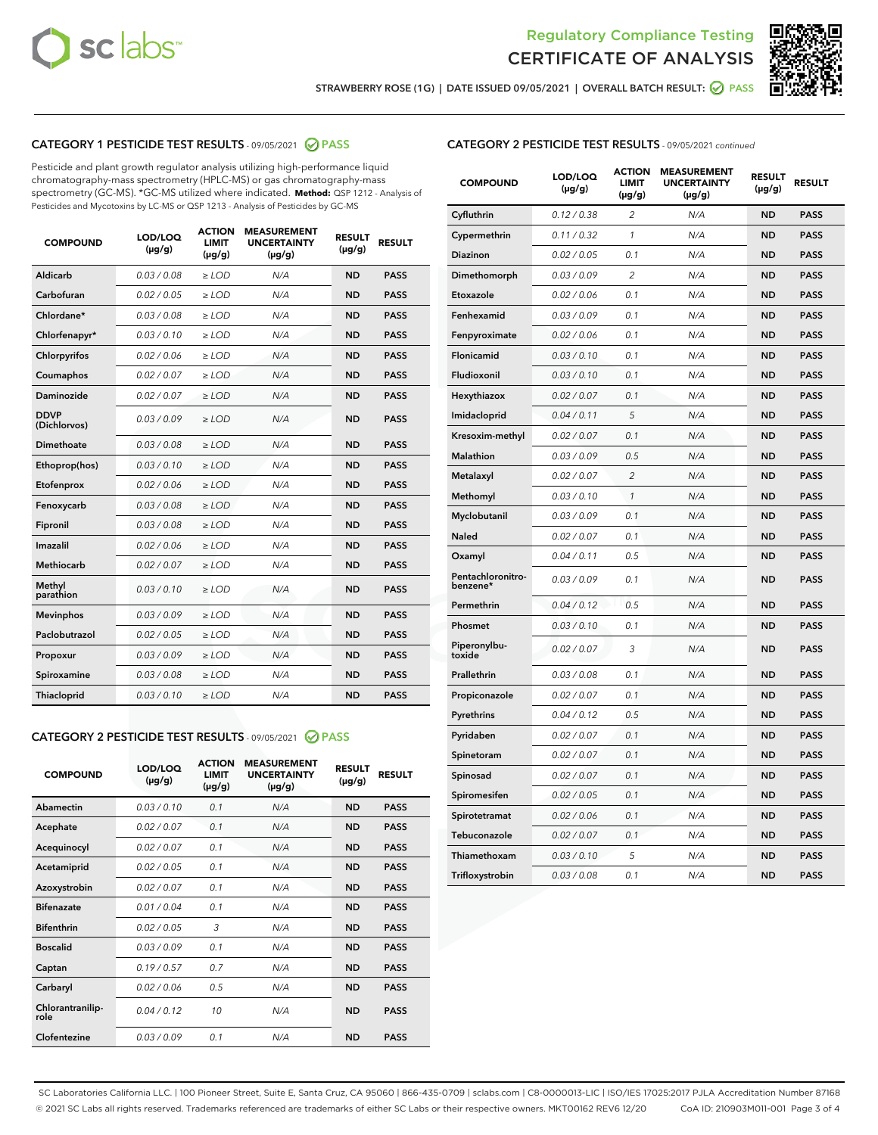



STRAWBERRY ROSE (1G) | DATE ISSUED 09/05/2021 | OVERALL BATCH RESULT: @ PASS

# CATEGORY 1 PESTICIDE TEST RESULTS - 09/05/2021 2 PASS

Pesticide and plant growth regulator analysis utilizing high-performance liquid chromatography-mass spectrometry (HPLC-MS) or gas chromatography-mass spectrometry (GC-MS). \*GC-MS utilized where indicated. **Method:** QSP 1212 - Analysis of Pesticides and Mycotoxins by LC-MS or QSP 1213 - Analysis of Pesticides by GC-MS

| <b>COMPOUND</b>             | LOD/LOQ<br>$(\mu g/g)$ | <b>ACTION</b><br><b>LIMIT</b><br>$(\mu g/g)$ | <b>MEASUREMENT</b><br><b>UNCERTAINTY</b><br>$(\mu g/g)$ | <b>RESULT</b><br>$(\mu g/g)$ | <b>RESULT</b> |
|-----------------------------|------------------------|----------------------------------------------|---------------------------------------------------------|------------------------------|---------------|
| Aldicarb                    | 0.03 / 0.08            | $\ge$ LOD                                    | N/A                                                     | <b>ND</b>                    | <b>PASS</b>   |
| Carbofuran                  | 0.02/0.05              | $>$ LOD                                      | N/A                                                     | <b>ND</b>                    | <b>PASS</b>   |
| Chlordane*                  | 0.03 / 0.08            | $\ge$ LOD                                    | N/A                                                     | <b>ND</b>                    | <b>PASS</b>   |
| Chlorfenapyr*               | 0.03/0.10              | $\ge$ LOD                                    | N/A                                                     | <b>ND</b>                    | <b>PASS</b>   |
| Chlorpyrifos                | 0.02 / 0.06            | $\ge$ LOD                                    | N/A                                                     | <b>ND</b>                    | <b>PASS</b>   |
| Coumaphos                   | 0.02 / 0.07            | $\ge$ LOD                                    | N/A                                                     | <b>ND</b>                    | <b>PASS</b>   |
| Daminozide                  | 0.02/0.07              | $>$ LOD                                      | N/A                                                     | <b>ND</b>                    | <b>PASS</b>   |
| <b>DDVP</b><br>(Dichlorvos) | 0.03/0.09              | $\ge$ LOD                                    | N/A                                                     | <b>ND</b>                    | <b>PASS</b>   |
| Dimethoate                  | 0.03 / 0.08            | $\ge$ LOD                                    | N/A                                                     | <b>ND</b>                    | <b>PASS</b>   |
| Ethoprop(hos)               | 0.03/0.10              | $>$ LOD                                      | N/A                                                     | <b>ND</b>                    | <b>PASS</b>   |
| Etofenprox                  | 0.02 / 0.06            | $\ge$ LOD                                    | N/A                                                     | <b>ND</b>                    | <b>PASS</b>   |
| Fenoxycarb                  | 0.03 / 0.08            | $\ge$ LOD                                    | N/A                                                     | <b>ND</b>                    | <b>PASS</b>   |
| Fipronil                    | 0.03/0.08              | $\ge$ LOD                                    | N/A                                                     | <b>ND</b>                    | <b>PASS</b>   |
| Imazalil                    | 0.02 / 0.06            | $\ge$ LOD                                    | N/A                                                     | <b>ND</b>                    | <b>PASS</b>   |
| <b>Methiocarb</b>           | 0.02 / 0.07            | $\ge$ LOD                                    | N/A                                                     | <b>ND</b>                    | <b>PASS</b>   |
| Methyl<br>parathion         | 0.03/0.10              | $\ge$ LOD                                    | N/A                                                     | <b>ND</b>                    | <b>PASS</b>   |
| <b>Mevinphos</b>            | 0.03/0.09              | $>$ LOD                                      | N/A                                                     | <b>ND</b>                    | <b>PASS</b>   |
| Paclobutrazol               | 0.02 / 0.05            | $\ge$ LOD                                    | N/A                                                     | <b>ND</b>                    | <b>PASS</b>   |
| Propoxur                    | 0.03/0.09              | $\ge$ LOD                                    | N/A                                                     | <b>ND</b>                    | <b>PASS</b>   |
| Spiroxamine                 | 0.03 / 0.08            | $\ge$ LOD                                    | N/A                                                     | <b>ND</b>                    | <b>PASS</b>   |
| Thiacloprid                 | 0.03/0.10              | $\ge$ LOD                                    | N/A                                                     | <b>ND</b>                    | <b>PASS</b>   |

#### CATEGORY 2 PESTICIDE TEST RESULTS - 09/05/2021 @ PASS

| <b>COMPOUND</b>          | LOD/LOO<br>$(\mu g/g)$ | <b>ACTION</b><br>LIMIT<br>$(\mu g/g)$ | <b>MEASUREMENT</b><br><b>UNCERTAINTY</b><br>$(\mu g/g)$ | <b>RESULT</b><br>$(\mu g/g)$ | <b>RESULT</b> |  |
|--------------------------|------------------------|---------------------------------------|---------------------------------------------------------|------------------------------|---------------|--|
| Abamectin                | 0.03/0.10              | 0.1                                   | N/A                                                     | <b>ND</b>                    | <b>PASS</b>   |  |
| Acephate                 | 0.02/0.07              | 0.1                                   | N/A                                                     | <b>ND</b>                    | <b>PASS</b>   |  |
| Acequinocyl              | 0.02/0.07              | 0.1                                   | N/A                                                     | <b>ND</b>                    | <b>PASS</b>   |  |
| Acetamiprid              | 0.02 / 0.05            | 0.1                                   | N/A                                                     | <b>ND</b>                    | <b>PASS</b>   |  |
| Azoxystrobin             | 0.02/0.07              | 0.1                                   | N/A                                                     | <b>ND</b>                    | <b>PASS</b>   |  |
| <b>Bifenazate</b>        | 0.01 / 0.04            | 0.1                                   | N/A                                                     | <b>ND</b>                    | <b>PASS</b>   |  |
| <b>Bifenthrin</b>        | 0.02 / 0.05            | 3                                     | N/A                                                     | <b>ND</b>                    | <b>PASS</b>   |  |
| <b>Boscalid</b>          | 0.03/0.09              | 0.1                                   | N/A                                                     | <b>ND</b>                    | <b>PASS</b>   |  |
| Captan                   | 0.19/0.57              | 0.7                                   | N/A                                                     | <b>ND</b>                    | <b>PASS</b>   |  |
| Carbaryl                 | 0.02/0.06              | 0.5                                   | N/A                                                     | <b>ND</b>                    | <b>PASS</b>   |  |
| Chlorantranilip-<br>role | 0.04/0.12              | 10                                    | N/A                                                     | <b>ND</b>                    | <b>PASS</b>   |  |
| Clofentezine             | 0.03/0.09              | 0.1                                   | N/A                                                     | <b>ND</b>                    | <b>PASS</b>   |  |

|  | <b>CATEGORY 2 PESTICIDE TEST RESULTS</b> - 09/05/2021 continued |  |
|--|-----------------------------------------------------------------|--|
|--|-----------------------------------------------------------------|--|

| <b>COMPOUND</b>               | LOD/LOQ<br>(µg/g) | <b>ACTION</b><br><b>LIMIT</b><br>$(\mu g/g)$ | <b>MEASUREMENT</b><br><b>UNCERTAINTY</b><br>$(\mu g/g)$ | <b>RESULT</b><br>(µg/g) | <b>RESULT</b> |
|-------------------------------|-------------------|----------------------------------------------|---------------------------------------------------------|-------------------------|---------------|
| Cyfluthrin                    | 0.12 / 0.38       | $\overline{c}$                               | N/A                                                     | <b>ND</b>               | <b>PASS</b>   |
| Cypermethrin                  | 0.11 / 0.32       | $\mathbf{1}$                                 | N/A                                                     | <b>ND</b>               | <b>PASS</b>   |
| Diazinon                      | 0.02 / 0.05       | 0.1                                          | N/A                                                     | <b>ND</b>               | <b>PASS</b>   |
| Dimethomorph                  | 0.03 / 0.09       | $\overline{c}$                               | N/A                                                     | <b>ND</b>               | <b>PASS</b>   |
| Etoxazole                     | 0.02 / 0.06       | 0.1                                          | N/A                                                     | ND                      | <b>PASS</b>   |
| Fenhexamid                    | 0.03 / 0.09       | 0.1                                          | N/A                                                     | ND                      | <b>PASS</b>   |
| Fenpyroximate                 | 0.02 / 0.06       | 0.1                                          | N/A                                                     | <b>ND</b>               | <b>PASS</b>   |
| <b>Flonicamid</b>             | 0.03 / 0.10       | 0.1                                          | N/A                                                     | <b>ND</b>               | <b>PASS</b>   |
| Fludioxonil                   | 0.03 / 0.10       | 0.1                                          | N/A                                                     | <b>ND</b>               | <b>PASS</b>   |
| Hexythiazox                   | 0.02 / 0.07       | 0.1                                          | N/A                                                     | ND                      | <b>PASS</b>   |
| Imidacloprid                  | 0.04 / 0.11       | 5                                            | N/A                                                     | <b>ND</b>               | <b>PASS</b>   |
| Kresoxim-methyl               | 0.02 / 0.07       | 0.1                                          | N/A                                                     | ND                      | <b>PASS</b>   |
| <b>Malathion</b>              | 0.03 / 0.09       | 0.5                                          | N/A                                                     | <b>ND</b>               | <b>PASS</b>   |
| Metalaxyl                     | 0.02 / 0.07       | $\overline{2}$                               | N/A                                                     | <b>ND</b>               | <b>PASS</b>   |
| Methomyl                      | 0.03 / 0.10       | $\mathbf{1}$                                 | N/A                                                     | <b>ND</b>               | <b>PASS</b>   |
| Myclobutanil                  | 0.03 / 0.09       | 0.1                                          | N/A                                                     | <b>ND</b>               | <b>PASS</b>   |
| Naled                         | 0.02 / 0.07       | 0.1                                          | N/A                                                     | ND                      | <b>PASS</b>   |
| Oxamyl                        | 0.04 / 0.11       | 0.5                                          | N/A                                                     | ND                      | <b>PASS</b>   |
| Pentachloronitro-<br>benzene* | 0.03 / 0.09       | 0.1                                          | N/A                                                     | <b>ND</b>               | <b>PASS</b>   |
| Permethrin                    | 0.04 / 0.12       | 0.5                                          | N/A                                                     | ND                      | <b>PASS</b>   |
| Phosmet                       | 0.03 / 0.10       | 0.1                                          | N/A                                                     | <b>ND</b>               | <b>PASS</b>   |
| Piperonylbu-<br>toxide        | 0.02 / 0.07       | 3                                            | N/A                                                     | <b>ND</b>               | <b>PASS</b>   |
| Prallethrin                   | 0.03 / 0.08       | 0.1                                          | N/A                                                     | <b>ND</b>               | <b>PASS</b>   |
| Propiconazole                 | 0.02 / 0.07       | 0.1                                          | N/A                                                     | <b>ND</b>               | <b>PASS</b>   |
| Pyrethrins                    | 0.04 / 0.12       | 0.5                                          | N/A                                                     | ND                      | <b>PASS</b>   |
| Pyridaben                     | 0.02 / 0.07       | 0.1                                          | N/A                                                     | ND                      | <b>PASS</b>   |
| Spinetoram                    | 0.02 / 0.07       | 0.1                                          | N/A                                                     | <b>ND</b>               | <b>PASS</b>   |
| Spinosad                      | 0.02 / 0.07       | 0.1                                          | N/A                                                     | ND                      | <b>PASS</b>   |
| Spiromesifen                  | 0.02 / 0.05       | 0.1                                          | N/A                                                     | ND                      | <b>PASS</b>   |
| Spirotetramat                 | 0.02 / 0.06       | 0.1                                          | N/A                                                     | <b>ND</b>               | <b>PASS</b>   |
| Tebuconazole                  | 0.02 / 0.07       | 0.1                                          | N/A                                                     | ND                      | <b>PASS</b>   |
| Thiamethoxam                  | 0.03 / 0.10       | 5                                            | N/A                                                     | <b>ND</b>               | <b>PASS</b>   |
| Trifloxystrobin               | 0.03 / 0.08       | 0.1                                          | N/A                                                     | <b>ND</b>               | <b>PASS</b>   |

SC Laboratories California LLC. | 100 Pioneer Street, Suite E, Santa Cruz, CA 95060 | 866-435-0709 | sclabs.com | C8-0000013-LIC | ISO/IES 17025:2017 PJLA Accreditation Number 87168 © 2021 SC Labs all rights reserved. Trademarks referenced are trademarks of either SC Labs or their respective owners. MKT00162 REV6 12/20 CoA ID: 210903M011-001 Page 3 of 4